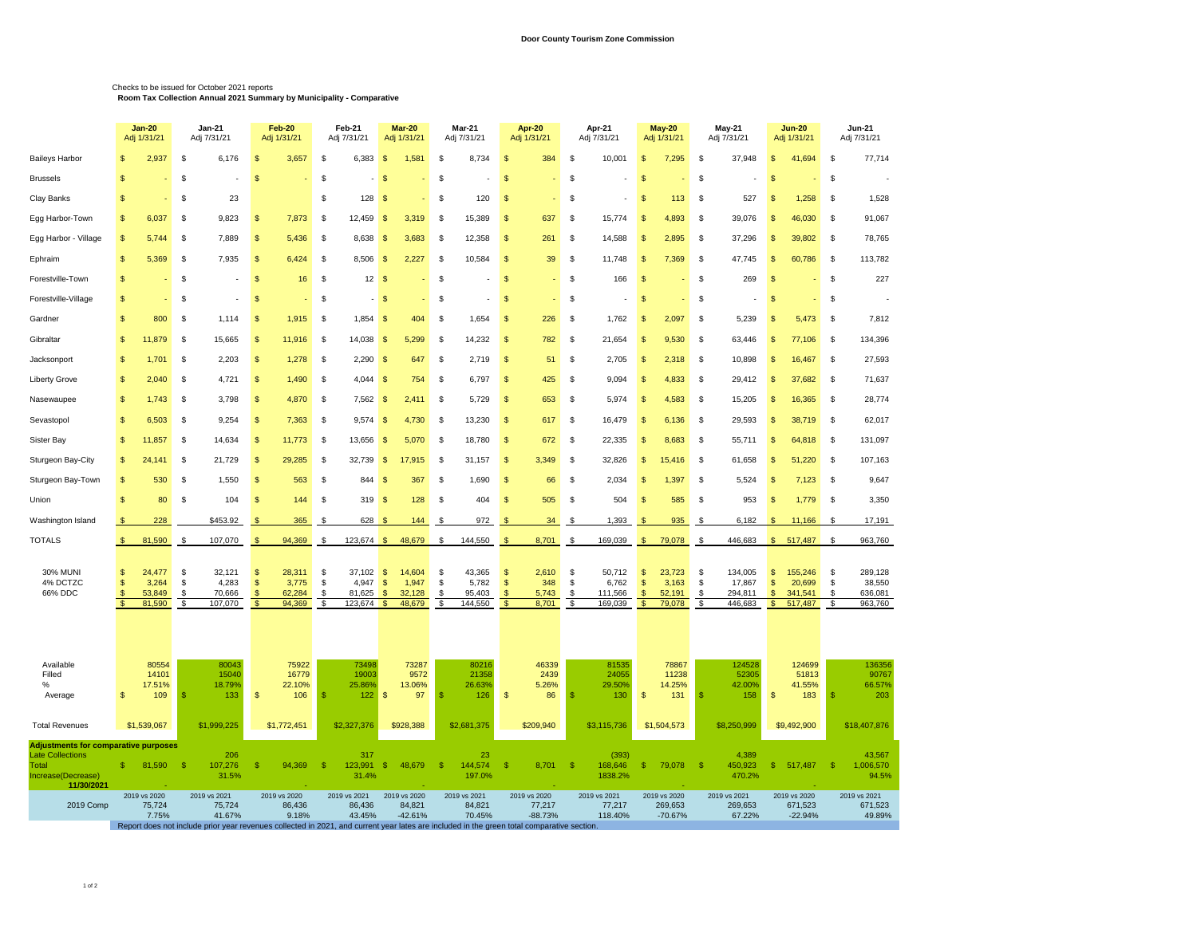## Checks to be issued for October 2021 reports **Room Tax Collection Annual 2021 Summary by Municipality - Comparative**

| 2,937<br>6,176<br>6,383<br>384<br>\$<br>10,001<br>37,948<br>Baileys Harbor<br>\$<br>\$<br>3,657<br>\$<br>-\$<br>1,581<br>S<br>8,734<br>\$<br>7,295<br>\$<br>\$<br>41,694<br>\$<br>S<br>\$<br>\$<br>\$<br>$\mathbf{\hat{s}}$<br>\$<br>\$<br>\$<br>$\mathsf{\$}$<br>\$<br>\$<br>$\mathbf{\$}$<br><b>Brussels</b><br>\$<br>23<br>\$<br>128<br>\$<br>527<br>\$<br>Clay Banks<br>\$<br>\$<br>$\sqrt{3}$<br>-S<br>120<br>\$.<br><b>S</b><br>113<br>\$<br>$\mathfrak{S}$<br>1,258<br>6,037<br>\$<br>9,823<br>7,873<br>$\mathfrak{s}$<br>12,459<br>$\mathbf{\hat{s}}$<br>3,319<br>\$<br>15,389<br>\$<br>637<br>\$<br>15,774<br>\$<br>4,893<br>\$<br>39,076<br>\$<br>46,030<br>$\mathbf{\$}$<br>Egg Harbor-Town<br>$\mathbf{s}$<br>\$<br>Egg Harbor - Village<br>5,744<br>\$<br>7,889<br>\$.<br>5,436<br>\$<br>8,638<br>$\sqrt{3}$<br>3,683<br>-S<br>12,358<br>\$<br>261<br>\$<br>14,588<br>\$<br>2,895<br>\$<br>37,296<br>\$<br>39,802<br>- \$<br>5,369<br>$\mathfrak{s}$<br>7,935<br>6,424<br>8,506 \$<br>2,227<br>10,584<br>\$<br>39<br>\$<br>11,748<br>\$<br>7,369<br>$\mathfrak{s}$<br>47,745<br>$\mathfrak{S}$<br>60,786<br>\$<br>Ephraim<br>$\mathbf{s}$<br>\$<br>\$<br>-S<br>\$<br>Forestville-Town<br>\$<br>\$<br>\$<br>16<br>\$<br>12S<br>S<br>\$<br>\$<br>166<br><b>S</b><br>\$<br>269<br>$\mathbf{s}$<br>\$<br>$-5$<br>\$<br>$\mathsf{s}$<br>\$<br>\$<br>\$<br>Forestville-Village<br>$\mathbb{S}$<br>\$<br>\$<br>S<br>\$<br>5,239<br>800<br>\$<br>1,114<br>\$<br>1,915<br>\$<br>$1,854$ \$<br>404<br>-S<br>1,654<br>\$<br>226<br>\$<br>1,762<br>\$<br>2,097<br>\$<br>\$<br>5,473<br>\$<br>Gardner<br>11,879<br>\$<br>15,665<br>$\mathfrak{s}$<br>11,916<br>\$<br>$14,038$ \$<br>5,299<br>14,232<br>$\mathsf{\$}$<br>782<br>\$<br>21,654<br>$\mathsf{s}$<br>9,530<br>\$<br>63,446<br>\$<br>\$<br>Gibraltar<br>$\mathbb{S}$<br>\$<br>77,106<br>$\mathbf{\$}$<br>1,701<br>\$<br>2,203<br>\$<br>1,278<br>\$<br>2,290<br>$\sqrt{3}$<br>647<br>\$<br>2,719<br>$\mathfrak{s}$<br>51<br>\$<br>2,705<br>\$<br>2,318<br>\$<br>10,898<br>$\mathfrak{s}$<br>16,467<br>Jacksonport<br>2,040<br>\$<br>4,721<br>$\mathfrak{s}$<br>1,490<br>$\mathfrak{s}$<br>$4,044$ \$<br>754<br>\$<br>6,797<br>$\mathsf{\$}$<br>425<br>\$<br>9,094<br>$\mathsf{\$}$<br>4,833<br>\$<br>29,412<br>$\mathsf{\$}$<br>37,682<br>\$<br>$\mathbf{s}$<br>Liberty Grove<br>1,743<br>\$<br>3,798<br>\$<br>4,870<br>\$<br>$7,562$ \$<br>2,411<br>-S<br>5,729<br>\$<br>653<br>\$<br>5,974<br>\$<br>4,583<br>\$<br>15,205<br>\$<br>16,365<br>\$<br>Nasewaupee<br>6,503<br>$\mathfrak{s}$<br>9,254<br>$\mathfrak{s}$<br>7,363<br>$9,574$ \$<br>4,730<br>\$<br>13,230<br>\$<br>\$<br>16,479<br>$\sqrt{2}$<br>\$<br>29,593<br>$\mathfrak{s}$<br>\$<br>Sevastopol<br>$\mathbf{s}$<br>\$<br>617<br>6,136<br>38,719<br>11,857<br>\$<br>14,634<br>\$<br>11,773<br>\$<br>13,656<br>$\sqrt{3}$<br>5,070<br>\$<br>18,780<br>\$<br>672<br>\$<br>22,335<br><b>S</b><br>\$<br>55,711<br>\$<br>64,818<br>\$<br>Sister Bay<br>8,683<br>\$<br>21,729<br>$\mathfrak{s}$<br>29,285<br>32,739<br>$\sqrt{3}$<br>17,915<br>31,157<br>$\sqrt{3}$<br>3,349<br>\$<br>32,826<br>$\sqrt{2}$<br>15,416<br>\$<br>61,658<br>$\sqrt{3}$<br>51,220<br>\$<br>Sturgeon Bay-City<br>$\mathbb{S}$<br>24,141<br>\$<br>\$<br>530<br>\$<br>1,550<br>\$<br>563<br>\$<br>844<br>$\sqrt{3}$<br>367<br>\$<br>1,690<br>\$<br>66<br>\$<br>2,034<br>\$<br>\$<br>5,524<br>\$<br>7,123<br>\$<br>Sturgeon Bay-Town<br>-S<br>1,397<br>$\mathsf{\$}$<br>80<br>\$<br>104<br>$319$ \$<br>128<br>404<br>$\sqrt{3}$<br>505<br>\$<br>504<br>$\mathsf{\$}$<br>585<br>\$<br>953<br>$\mathsf{\$}$<br>\$<br>\$<br>144<br>\$<br>\$<br>1,779<br>Union<br>228<br>\$453.92<br>365<br>628<br>144<br>972<br>34<br>1,393<br>935<br>6,182<br>S.<br>Washington Island<br>\$<br>-\$<br>9<br>- \$<br>- \$<br>\$<br>- 3<br>S<br>11,166<br>-S<br>TOTALS<br>81,590<br>\$<br>107,070<br>94,369<br>$123,674$ \$<br>48,679<br>144,550<br>8,701<br>\$<br>169,039<br>$\sqrt{2}$<br>79,078<br>446,683<br>$\mathbb{S}$<br>517,487<br>\$<br><b>S</b><br>$\mathbf{\hat{f}}$<br>\$<br>\$<br>$\mathfrak{F}$<br>\$ | 77,714<br>1,528<br>91,067<br>78,765<br>113,782<br>227 |
|-----------------------------------------------------------------------------------------------------------------------------------------------------------------------------------------------------------------------------------------------------------------------------------------------------------------------------------------------------------------------------------------------------------------------------------------------------------------------------------------------------------------------------------------------------------------------------------------------------------------------------------------------------------------------------------------------------------------------------------------------------------------------------------------------------------------------------------------------------------------------------------------------------------------------------------------------------------------------------------------------------------------------------------------------------------------------------------------------------------------------------------------------------------------------------------------------------------------------------------------------------------------------------------------------------------------------------------------------------------------------------------------------------------------------------------------------------------------------------------------------------------------------------------------------------------------------------------------------------------------------------------------------------------------------------------------------------------------------------------------------------------------------------------------------------------------------------------------------------------------------------------------------------------------------------------------------------------------------------------------------------------------------------------------------------------------------------------------------------------------------------------------------------------------------------------------------------------------------------------------------------------------------------------------------------------------------------------------------------------------------------------------------------------------------------------------------------------------------------------------------------------------------------------------------------------------------------------------------------------------------------------------------------------------------------------------------------------------------------------------------------------------------------------------------------------------------------------------------------------------------------------------------------------------------------------------------------------------------------------------------------------------------------------------------------------------------------------------------------------------------------------------------------------------------------------------------------------------------------------------------------------------------------------------------------------------------------------------------------------------------------------------------------------------------------------------------------------------------------------------------------------------------------------------------------------------------------------------------------------------------------------------------------------------------------------------------------------------------------------------------------------------------------------------------------------------------------------------------------------------------------------------------------------------------------------------------------------------------------------------------------------------------------------------------------------------------------------------|-------------------------------------------------------|
|                                                                                                                                                                                                                                                                                                                                                                                                                                                                                                                                                                                                                                                                                                                                                                                                                                                                                                                                                                                                                                                                                                                                                                                                                                                                                                                                                                                                                                                                                                                                                                                                                                                                                                                                                                                                                                                                                                                                                                                                                                                                                                                                                                                                                                                                                                                                                                                                                                                                                                                                                                                                                                                                                                                                                                                                                                                                                                                                                                                                                                                                                                                                                                                                                                                                                                                                                                                                                                                                                                                                                                                                                                                                                                                                                                                                                                                                                                                                                                                                                                                                                         |                                                       |
|                                                                                                                                                                                                                                                                                                                                                                                                                                                                                                                                                                                                                                                                                                                                                                                                                                                                                                                                                                                                                                                                                                                                                                                                                                                                                                                                                                                                                                                                                                                                                                                                                                                                                                                                                                                                                                                                                                                                                                                                                                                                                                                                                                                                                                                                                                                                                                                                                                                                                                                                                                                                                                                                                                                                                                                                                                                                                                                                                                                                                                                                                                                                                                                                                                                                                                                                                                                                                                                                                                                                                                                                                                                                                                                                                                                                                                                                                                                                                                                                                                                                                         |                                                       |
|                                                                                                                                                                                                                                                                                                                                                                                                                                                                                                                                                                                                                                                                                                                                                                                                                                                                                                                                                                                                                                                                                                                                                                                                                                                                                                                                                                                                                                                                                                                                                                                                                                                                                                                                                                                                                                                                                                                                                                                                                                                                                                                                                                                                                                                                                                                                                                                                                                                                                                                                                                                                                                                                                                                                                                                                                                                                                                                                                                                                                                                                                                                                                                                                                                                                                                                                                                                                                                                                                                                                                                                                                                                                                                                                                                                                                                                                                                                                                                                                                                                                                         |                                                       |
|                                                                                                                                                                                                                                                                                                                                                                                                                                                                                                                                                                                                                                                                                                                                                                                                                                                                                                                                                                                                                                                                                                                                                                                                                                                                                                                                                                                                                                                                                                                                                                                                                                                                                                                                                                                                                                                                                                                                                                                                                                                                                                                                                                                                                                                                                                                                                                                                                                                                                                                                                                                                                                                                                                                                                                                                                                                                                                                                                                                                                                                                                                                                                                                                                                                                                                                                                                                                                                                                                                                                                                                                                                                                                                                                                                                                                                                                                                                                                                                                                                                                                         |                                                       |
|                                                                                                                                                                                                                                                                                                                                                                                                                                                                                                                                                                                                                                                                                                                                                                                                                                                                                                                                                                                                                                                                                                                                                                                                                                                                                                                                                                                                                                                                                                                                                                                                                                                                                                                                                                                                                                                                                                                                                                                                                                                                                                                                                                                                                                                                                                                                                                                                                                                                                                                                                                                                                                                                                                                                                                                                                                                                                                                                                                                                                                                                                                                                                                                                                                                                                                                                                                                                                                                                                                                                                                                                                                                                                                                                                                                                                                                                                                                                                                                                                                                                                         |                                                       |
|                                                                                                                                                                                                                                                                                                                                                                                                                                                                                                                                                                                                                                                                                                                                                                                                                                                                                                                                                                                                                                                                                                                                                                                                                                                                                                                                                                                                                                                                                                                                                                                                                                                                                                                                                                                                                                                                                                                                                                                                                                                                                                                                                                                                                                                                                                                                                                                                                                                                                                                                                                                                                                                                                                                                                                                                                                                                                                                                                                                                                                                                                                                                                                                                                                                                                                                                                                                                                                                                                                                                                                                                                                                                                                                                                                                                                                                                                                                                                                                                                                                                                         |                                                       |
|                                                                                                                                                                                                                                                                                                                                                                                                                                                                                                                                                                                                                                                                                                                                                                                                                                                                                                                                                                                                                                                                                                                                                                                                                                                                                                                                                                                                                                                                                                                                                                                                                                                                                                                                                                                                                                                                                                                                                                                                                                                                                                                                                                                                                                                                                                                                                                                                                                                                                                                                                                                                                                                                                                                                                                                                                                                                                                                                                                                                                                                                                                                                                                                                                                                                                                                                                                                                                                                                                                                                                                                                                                                                                                                                                                                                                                                                                                                                                                                                                                                                                         |                                                       |
|                                                                                                                                                                                                                                                                                                                                                                                                                                                                                                                                                                                                                                                                                                                                                                                                                                                                                                                                                                                                                                                                                                                                                                                                                                                                                                                                                                                                                                                                                                                                                                                                                                                                                                                                                                                                                                                                                                                                                                                                                                                                                                                                                                                                                                                                                                                                                                                                                                                                                                                                                                                                                                                                                                                                                                                                                                                                                                                                                                                                                                                                                                                                                                                                                                                                                                                                                                                                                                                                                                                                                                                                                                                                                                                                                                                                                                                                                                                                                                                                                                                                                         |                                                       |
|                                                                                                                                                                                                                                                                                                                                                                                                                                                                                                                                                                                                                                                                                                                                                                                                                                                                                                                                                                                                                                                                                                                                                                                                                                                                                                                                                                                                                                                                                                                                                                                                                                                                                                                                                                                                                                                                                                                                                                                                                                                                                                                                                                                                                                                                                                                                                                                                                                                                                                                                                                                                                                                                                                                                                                                                                                                                                                                                                                                                                                                                                                                                                                                                                                                                                                                                                                                                                                                                                                                                                                                                                                                                                                                                                                                                                                                                                                                                                                                                                                                                                         | 7,812                                                 |
|                                                                                                                                                                                                                                                                                                                                                                                                                                                                                                                                                                                                                                                                                                                                                                                                                                                                                                                                                                                                                                                                                                                                                                                                                                                                                                                                                                                                                                                                                                                                                                                                                                                                                                                                                                                                                                                                                                                                                                                                                                                                                                                                                                                                                                                                                                                                                                                                                                                                                                                                                                                                                                                                                                                                                                                                                                                                                                                                                                                                                                                                                                                                                                                                                                                                                                                                                                                                                                                                                                                                                                                                                                                                                                                                                                                                                                                                                                                                                                                                                                                                                         | 134,396                                               |
|                                                                                                                                                                                                                                                                                                                                                                                                                                                                                                                                                                                                                                                                                                                                                                                                                                                                                                                                                                                                                                                                                                                                                                                                                                                                                                                                                                                                                                                                                                                                                                                                                                                                                                                                                                                                                                                                                                                                                                                                                                                                                                                                                                                                                                                                                                                                                                                                                                                                                                                                                                                                                                                                                                                                                                                                                                                                                                                                                                                                                                                                                                                                                                                                                                                                                                                                                                                                                                                                                                                                                                                                                                                                                                                                                                                                                                                                                                                                                                                                                                                                                         | 27,593                                                |
|                                                                                                                                                                                                                                                                                                                                                                                                                                                                                                                                                                                                                                                                                                                                                                                                                                                                                                                                                                                                                                                                                                                                                                                                                                                                                                                                                                                                                                                                                                                                                                                                                                                                                                                                                                                                                                                                                                                                                                                                                                                                                                                                                                                                                                                                                                                                                                                                                                                                                                                                                                                                                                                                                                                                                                                                                                                                                                                                                                                                                                                                                                                                                                                                                                                                                                                                                                                                                                                                                                                                                                                                                                                                                                                                                                                                                                                                                                                                                                                                                                                                                         | 71,637                                                |
|                                                                                                                                                                                                                                                                                                                                                                                                                                                                                                                                                                                                                                                                                                                                                                                                                                                                                                                                                                                                                                                                                                                                                                                                                                                                                                                                                                                                                                                                                                                                                                                                                                                                                                                                                                                                                                                                                                                                                                                                                                                                                                                                                                                                                                                                                                                                                                                                                                                                                                                                                                                                                                                                                                                                                                                                                                                                                                                                                                                                                                                                                                                                                                                                                                                                                                                                                                                                                                                                                                                                                                                                                                                                                                                                                                                                                                                                                                                                                                                                                                                                                         | 28,774                                                |
|                                                                                                                                                                                                                                                                                                                                                                                                                                                                                                                                                                                                                                                                                                                                                                                                                                                                                                                                                                                                                                                                                                                                                                                                                                                                                                                                                                                                                                                                                                                                                                                                                                                                                                                                                                                                                                                                                                                                                                                                                                                                                                                                                                                                                                                                                                                                                                                                                                                                                                                                                                                                                                                                                                                                                                                                                                                                                                                                                                                                                                                                                                                                                                                                                                                                                                                                                                                                                                                                                                                                                                                                                                                                                                                                                                                                                                                                                                                                                                                                                                                                                         | 62,017                                                |
|                                                                                                                                                                                                                                                                                                                                                                                                                                                                                                                                                                                                                                                                                                                                                                                                                                                                                                                                                                                                                                                                                                                                                                                                                                                                                                                                                                                                                                                                                                                                                                                                                                                                                                                                                                                                                                                                                                                                                                                                                                                                                                                                                                                                                                                                                                                                                                                                                                                                                                                                                                                                                                                                                                                                                                                                                                                                                                                                                                                                                                                                                                                                                                                                                                                                                                                                                                                                                                                                                                                                                                                                                                                                                                                                                                                                                                                                                                                                                                                                                                                                                         | 131,097                                               |
|                                                                                                                                                                                                                                                                                                                                                                                                                                                                                                                                                                                                                                                                                                                                                                                                                                                                                                                                                                                                                                                                                                                                                                                                                                                                                                                                                                                                                                                                                                                                                                                                                                                                                                                                                                                                                                                                                                                                                                                                                                                                                                                                                                                                                                                                                                                                                                                                                                                                                                                                                                                                                                                                                                                                                                                                                                                                                                                                                                                                                                                                                                                                                                                                                                                                                                                                                                                                                                                                                                                                                                                                                                                                                                                                                                                                                                                                                                                                                                                                                                                                                         | 107,163                                               |
|                                                                                                                                                                                                                                                                                                                                                                                                                                                                                                                                                                                                                                                                                                                                                                                                                                                                                                                                                                                                                                                                                                                                                                                                                                                                                                                                                                                                                                                                                                                                                                                                                                                                                                                                                                                                                                                                                                                                                                                                                                                                                                                                                                                                                                                                                                                                                                                                                                                                                                                                                                                                                                                                                                                                                                                                                                                                                                                                                                                                                                                                                                                                                                                                                                                                                                                                                                                                                                                                                                                                                                                                                                                                                                                                                                                                                                                                                                                                                                                                                                                                                         | 9,647                                                 |
|                                                                                                                                                                                                                                                                                                                                                                                                                                                                                                                                                                                                                                                                                                                                                                                                                                                                                                                                                                                                                                                                                                                                                                                                                                                                                                                                                                                                                                                                                                                                                                                                                                                                                                                                                                                                                                                                                                                                                                                                                                                                                                                                                                                                                                                                                                                                                                                                                                                                                                                                                                                                                                                                                                                                                                                                                                                                                                                                                                                                                                                                                                                                                                                                                                                                                                                                                                                                                                                                                                                                                                                                                                                                                                                                                                                                                                                                                                                                                                                                                                                                                         | 3,350                                                 |
|                                                                                                                                                                                                                                                                                                                                                                                                                                                                                                                                                                                                                                                                                                                                                                                                                                                                                                                                                                                                                                                                                                                                                                                                                                                                                                                                                                                                                                                                                                                                                                                                                                                                                                                                                                                                                                                                                                                                                                                                                                                                                                                                                                                                                                                                                                                                                                                                                                                                                                                                                                                                                                                                                                                                                                                                                                                                                                                                                                                                                                                                                                                                                                                                                                                                                                                                                                                                                                                                                                                                                                                                                                                                                                                                                                                                                                                                                                                                                                                                                                                                                         | 17,191                                                |
|                                                                                                                                                                                                                                                                                                                                                                                                                                                                                                                                                                                                                                                                                                                                                                                                                                                                                                                                                                                                                                                                                                                                                                                                                                                                                                                                                                                                                                                                                                                                                                                                                                                                                                                                                                                                                                                                                                                                                                                                                                                                                                                                                                                                                                                                                                                                                                                                                                                                                                                                                                                                                                                                                                                                                                                                                                                                                                                                                                                                                                                                                                                                                                                                                                                                                                                                                                                                                                                                                                                                                                                                                                                                                                                                                                                                                                                                                                                                                                                                                                                                                         | 963,760                                               |
| <b>30% MUNI</b><br>24,477<br>$\mathfrak{s}$<br>32,121<br>28,311<br>$\mathfrak{s}$<br>37,102<br>14,604<br>\$<br>43,365<br>2,610<br>\$<br>50,712<br>23,723<br>\$<br>134,005<br>155,246<br>\$<br>$\mathfrak{s}$<br>\$<br><b>S</b><br>$\mathfrak{s}$<br>\$<br>-S<br>4% DCTZC<br>3,264<br>\$<br>4,283<br>$\sqrt{2}$<br>3,775<br>4,947<br>1,947<br>\$<br>5,782<br>348<br>\$<br>6,762<br>$\sqrt{2}$<br>3,163<br>\$<br>17,867<br>\$<br>20,699<br>$\mathbb{S}$<br>\$<br>-S<br>$\frac{1}{2}$<br>\$<br>66% DDC<br>70,666<br>32,128<br>294,811<br>53,849<br>\$<br>\$<br>62,284<br>\$<br>81,625<br>S.<br>\$<br>95,403<br><b>S</b><br>5,743<br>\$<br>111,566<br><b>S</b><br>52,191<br>\$<br>\$<br>341,541<br>\$<br>-\$<br>81,590<br>107,070<br>94,369<br>123,674<br>48,679<br>144,550<br>8,701<br>169,039<br>79,078<br>446,683<br>$\mathbb{S}$<br>517,487<br>$\mathbf{\hat{s}}$<br>\$<br>\$<br>\$<br>$\mathfrak{s}$<br>\$<br>\$.<br>\$<br>$\mathfrak{s}$<br>\$<br>\$                                                                                                                                                                                                                                                                                                                                                                                                                                                                                                                                                                                                                                                                                                                                                                                                                                                                                                                                                                                                                                                                                                                                                                                                                                                                                                                                                                                                                                                                                                                                                                                                                                                                                                                                                                                                                                                                                                                                                                                                                                                                                                                                                                                                                                                                                                                                                                                                                                                                                                                                                                                                                                                                                                                                                                                                                                                                                                                                                                                                                                                                                                                                  | 289,128<br>38,550<br>636,081<br>963,760               |
| Available<br>80554<br>80043<br>75922<br>73498<br>73287<br>80216<br>46339<br>81535<br>78867<br>124528<br>124699<br>Filled<br>14101<br>15040<br>16779<br>19003<br>9572<br>21358<br>2439<br>24055<br>11238<br>52305<br>51813<br>22.10%<br>17.51%<br>25.86%<br>13.06%<br>5.26%<br>14.25%<br>41.55%<br>18.79%<br>26.63%<br>29.50%<br>42.00%<br>%<br>$\mathbf{\$}$<br>$\mathfrak{s}$<br>158<br>$\mathfrak{s}$<br>Average<br>$\mathbb{S}$<br>109<br>-S<br>133<br>\$<br>106<br>-S<br>122<br>97<br>-\$<br>126<br>\$<br>86<br>$\mathfrak{s}$<br>130<br>131<br>183<br>-S<br>S                                                                                                                                                                                                                                                                                                                                                                                                                                                                                                                                                                                                                                                                                                                                                                                                                                                                                                                                                                                                                                                                                                                                                                                                                                                                                                                                                                                                                                                                                                                                                                                                                                                                                                                                                                                                                                                                                                                                                                                                                                                                                                                                                                                                                                                                                                                                                                                                                                                                                                                                                                                                                                                                                                                                                                                                                                                                                                                                                                                                                                                                                                                                                                                                                                                                                                                                                                                                                                                                                                                      | 136356<br>90767<br>66.57%<br>203                      |
| \$928,388<br>\$209,940<br>\$8,250,999<br>\$1,539,067<br>\$1,999,225<br>\$1,772,451<br>\$2,327,376<br>\$2,681,375<br>\$3,115,736<br>\$1,504,573<br>\$9,492,900<br><b>Total Revenues</b>                                                                                                                                                                                                                                                                                                                                                                                                                                                                                                                                                                                                                                                                                                                                                                                                                                                                                                                                                                                                                                                                                                                                                                                                                                                                                                                                                                                                                                                                                                                                                                                                                                                                                                                                                                                                                                                                                                                                                                                                                                                                                                                                                                                                                                                                                                                                                                                                                                                                                                                                                                                                                                                                                                                                                                                                                                                                                                                                                                                                                                                                                                                                                                                                                                                                                                                                                                                                                                                                                                                                                                                                                                                                                                                                                                                                                                                                                                  | \$18,407,876                                          |
| <b>Adjustments for comparative purposes</b><br>317<br>23<br>(393)<br>4,389<br><b>Late Collections</b><br>206<br>107,276<br>-\$<br>$\mathbb{S}$<br>123,991<br>$\mathbb{S}$<br>$\mathbb{S}$<br>144,574<br>$\mathbb{S}$<br>-\$<br>168,646<br>79,078<br>450,923<br>-\$<br>Total<br>\$.<br>81,590<br>\$<br>94,369<br>48,679<br>8,701<br>-\$<br>-\$<br>\$<br>517,487<br>31.5%<br>470.2%<br>Increase(Decrease)<br>31.4%<br>197.0%<br>1838.2%<br>11/30/2021                                                                                                                                                                                                                                                                                                                                                                                                                                                                                                                                                                                                                                                                                                                                                                                                                                                                                                                                                                                                                                                                                                                                                                                                                                                                                                                                                                                                                                                                                                                                                                                                                                                                                                                                                                                                                                                                                                                                                                                                                                                                                                                                                                                                                                                                                                                                                                                                                                                                                                                                                                                                                                                                                                                                                                                                                                                                                                                                                                                                                                                                                                                                                                                                                                                                                                                                                                                                                                                                                                                                                                                                                                     | 43,567<br>1,006,570<br>94.5%                          |
| 2019 vs 2021<br>2019 vs 2020<br>2019 vs 2021<br>2019 vs 2020<br>2019 vs 2021<br>2019 vs 2020<br>2019 vs 2021<br>2019 vs 2020<br>2019 vs 2021<br>2019 vs 2020<br>2019 vs 2020<br>2019 Comp<br>86,436<br>86,436<br>84,821<br>84,821<br>77,217<br>77,217<br>269,653<br>269,653<br>671,523<br>75,724<br>75,724<br>$-22.94%$<br>7.75%<br>41.67%<br>9.18%<br>43.45%<br>$-42.61%$<br>70.45%<br>$-88.73%$<br>118.40%<br>$-70.67%$<br>67.22%<br>Report does not include prior year revenues collected in 2021, and current year lates are included in the green total comparative section.                                                                                                                                                                                                                                                                                                                                                                                                                                                                                                                                                                                                                                                                                                                                                                                                                                                                                                                                                                                                                                                                                                                                                                                                                                                                                                                                                                                                                                                                                                                                                                                                                                                                                                                                                                                                                                                                                                                                                                                                                                                                                                                                                                                                                                                                                                                                                                                                                                                                                                                                                                                                                                                                                                                                                                                                                                                                                                                                                                                                                                                                                                                                                                                                                                                                                                                                                                                                                                                                                                       | 2019 vs 2021<br>671,523<br>49.89%                     |